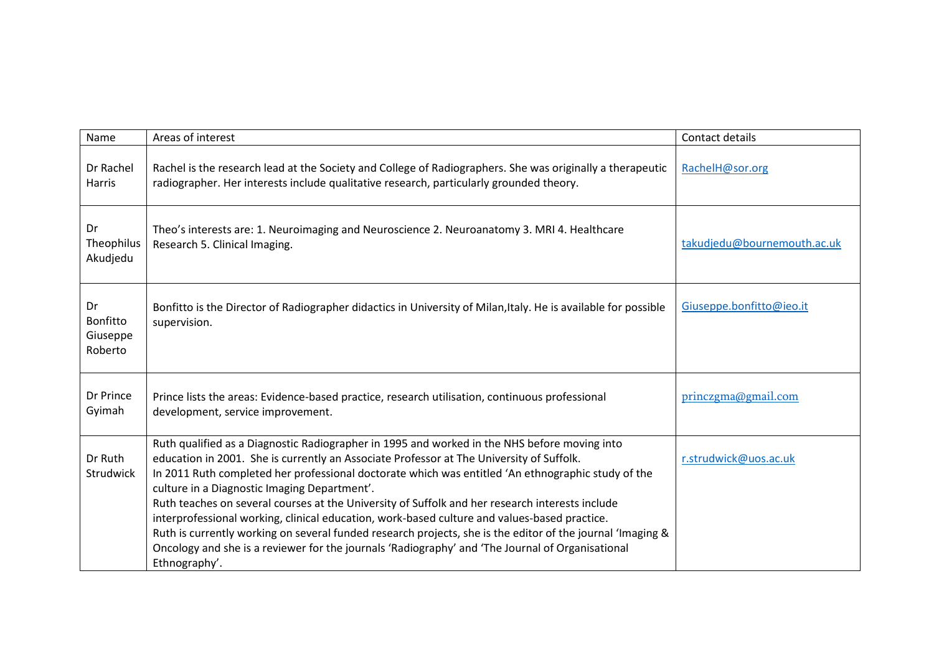| Name                                  | Areas of interest                                                                                                                                                                                                                                                                                                                                                                                                                                                                                                                                                                                                                                                                                                                                                                    | Contact details             |
|---------------------------------------|--------------------------------------------------------------------------------------------------------------------------------------------------------------------------------------------------------------------------------------------------------------------------------------------------------------------------------------------------------------------------------------------------------------------------------------------------------------------------------------------------------------------------------------------------------------------------------------------------------------------------------------------------------------------------------------------------------------------------------------------------------------------------------------|-----------------------------|
| Dr Rachel<br>Harris                   | Rachel is the research lead at the Society and College of Radiographers. She was originally a therapeutic<br>radiographer. Her interests include qualitative research, particularly grounded theory.                                                                                                                                                                                                                                                                                                                                                                                                                                                                                                                                                                                 | RachelH@sor.org             |
| Dr<br>Theophilus<br>Akudjedu          | Theo's interests are: 1. Neuroimaging and Neuroscience 2. Neuroanatomy 3. MRI 4. Healthcare<br>Research 5. Clinical Imaging.                                                                                                                                                                                                                                                                                                                                                                                                                                                                                                                                                                                                                                                         | takudjedu@bournemouth.ac.uk |
| Dr<br>Bonfitto<br>Giuseppe<br>Roberto | Bonfitto is the Director of Radiographer didactics in University of Milan, Italy. He is available for possible<br>supervision.                                                                                                                                                                                                                                                                                                                                                                                                                                                                                                                                                                                                                                                       | Giuseppe.bonfitto@ieo.it    |
| Dr Prince<br>Gyimah                   | Prince lists the areas: Evidence-based practice, research utilisation, continuous professional<br>development, service improvement.                                                                                                                                                                                                                                                                                                                                                                                                                                                                                                                                                                                                                                                  | princzgma@gmail.com         |
| Dr Ruth<br>Strudwick                  | Ruth qualified as a Diagnostic Radiographer in 1995 and worked in the NHS before moving into<br>education in 2001. She is currently an Associate Professor at The University of Suffolk.<br>In 2011 Ruth completed her professional doctorate which was entitled 'An ethnographic study of the<br>culture in a Diagnostic Imaging Department'.<br>Ruth teaches on several courses at the University of Suffolk and her research interests include<br>interprofessional working, clinical education, work-based culture and values-based practice.<br>Ruth is currently working on several funded research projects, she is the editor of the journal 'Imaging &<br>Oncology and she is a reviewer for the journals 'Radiography' and 'The Journal of Organisational<br>Ethnography'. | r.strudwick@uos.ac.uk       |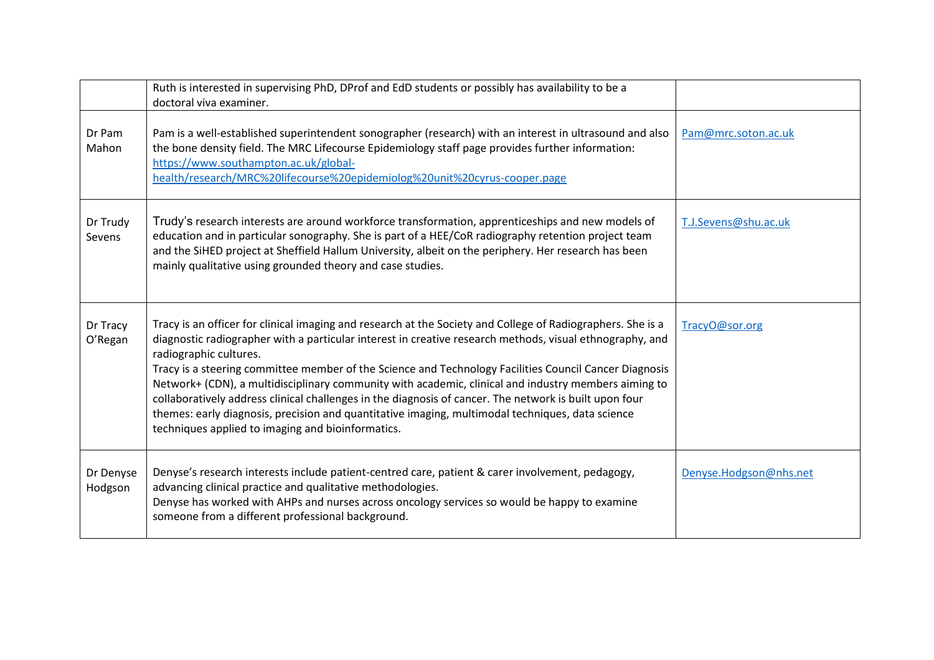|                      | Ruth is interested in supervising PhD, DProf and EdD students or possibly has availability to be a<br>doctoral viva examiner.                                                                                                                                                                                                                                                                                                                                                                                                                                                                                                                                                                                                          |                        |
|----------------------|----------------------------------------------------------------------------------------------------------------------------------------------------------------------------------------------------------------------------------------------------------------------------------------------------------------------------------------------------------------------------------------------------------------------------------------------------------------------------------------------------------------------------------------------------------------------------------------------------------------------------------------------------------------------------------------------------------------------------------------|------------------------|
| Dr Pam<br>Mahon      | Pam is a well-established superintendent sonographer (research) with an interest in ultrasound and also<br>the bone density field. The MRC Lifecourse Epidemiology staff page provides further information:<br>https://www.southampton.ac.uk/global-<br>health/research/MRC%20lifecourse%20epidemiolog%20unit%20cyrus-cooper.page                                                                                                                                                                                                                                                                                                                                                                                                      | Pam@mrc.soton.ac.uk    |
| Dr Trudy<br>Sevens   | Trudy's research interests are around workforce transformation, apprenticeships and new models of<br>education and in particular sonography. She is part of a HEE/CoR radiography retention project team<br>and the SiHED project at Sheffield Hallum University, albeit on the periphery. Her research has been<br>mainly qualitative using grounded theory and case studies.                                                                                                                                                                                                                                                                                                                                                         | T.J.Sevens@shu.ac.uk   |
| Dr Tracy<br>O'Regan  | Tracy is an officer for clinical imaging and research at the Society and College of Radiographers. She is a<br>diagnostic radiographer with a particular interest in creative research methods, visual ethnography, and<br>radiographic cultures.<br>Tracy is a steering committee member of the Science and Technology Facilities Council Cancer Diagnosis<br>Network+ (CDN), a multidisciplinary community with academic, clinical and industry members aiming to<br>collaboratively address clinical challenges in the diagnosis of cancer. The network is built upon four<br>themes: early diagnosis, precision and quantitative imaging, multimodal techniques, data science<br>techniques applied to imaging and bioinformatics. | TracyO@sor.org         |
| Dr Denyse<br>Hodgson | Denyse's research interests include patient-centred care, patient & carer involvement, pedagogy,<br>advancing clinical practice and qualitative methodologies.<br>Denyse has worked with AHPs and nurses across oncology services so would be happy to examine<br>someone from a different professional background.                                                                                                                                                                                                                                                                                                                                                                                                                    | Denyse.Hodgson@nhs.net |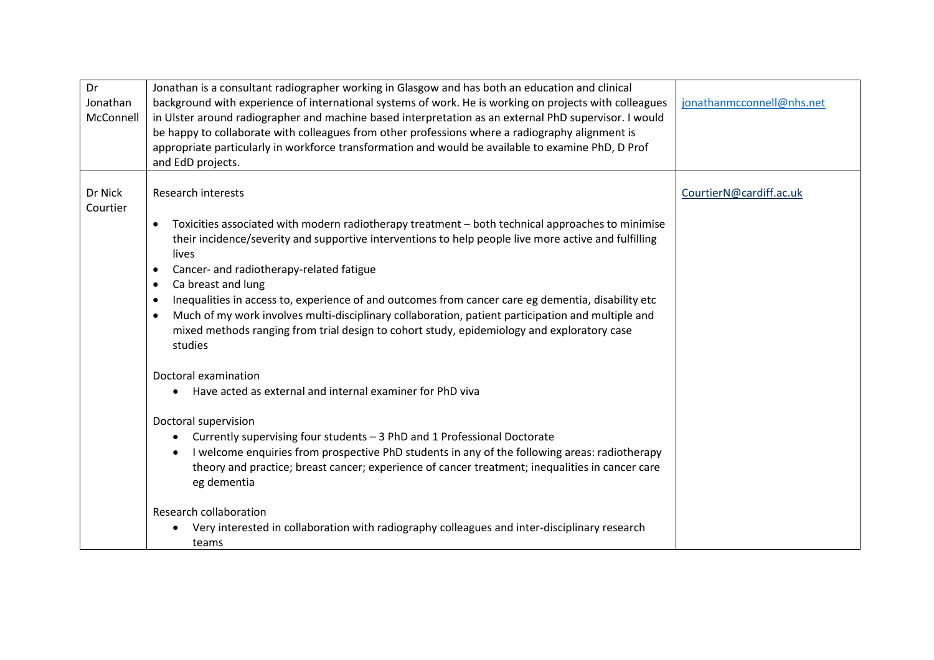| Dr<br>Jonathan      | Jonathan is a consultant radiographer working in Glasgow and has both an education and clinical                                                                                                                                                                                                                                                                                                                                                                                                                                                                                                                                                                                            |                           |
|---------------------|--------------------------------------------------------------------------------------------------------------------------------------------------------------------------------------------------------------------------------------------------------------------------------------------------------------------------------------------------------------------------------------------------------------------------------------------------------------------------------------------------------------------------------------------------------------------------------------------------------------------------------------------------------------------------------------------|---------------------------|
| McConnell           | background with experience of international systems of work. He is working on projects with colleagues<br>in Ulster around radiographer and machine based interpretation as an external PhD supervisor. I would                                                                                                                                                                                                                                                                                                                                                                                                                                                                            | jonathanmcconnell@nhs.net |
|                     | be happy to collaborate with colleagues from other professions where a radiography alignment is                                                                                                                                                                                                                                                                                                                                                                                                                                                                                                                                                                                            |                           |
|                     | appropriate particularly in workforce transformation and would be available to examine PhD, D Prof                                                                                                                                                                                                                                                                                                                                                                                                                                                                                                                                                                                         |                           |
|                     | and EdD projects.                                                                                                                                                                                                                                                                                                                                                                                                                                                                                                                                                                                                                                                                          |                           |
| Dr Nick<br>Courtier | <b>Research interests</b><br>Toxicities associated with modern radiotherapy treatment - both technical approaches to minimise<br>$\bullet$<br>their incidence/severity and supportive interventions to help people live more active and fulfilling<br>lives<br>Cancer- and radiotherapy-related fatigue<br>$\bullet$<br>Ca breast and lung<br>$\bullet$<br>Inequalities in access to, experience of and outcomes from cancer care eg dementia, disability etc<br>$\bullet$<br>Much of my work involves multi-disciplinary collaboration, patient participation and multiple and<br>$\bullet$<br>mixed methods ranging from trial design to cohort study, epidemiology and exploratory case | CourtierN@cardiff.ac.uk   |
|                     | studies<br>Doctoral examination                                                                                                                                                                                                                                                                                                                                                                                                                                                                                                                                                                                                                                                            |                           |
|                     | Have acted as external and internal examiner for PhD viva<br>$\bullet$                                                                                                                                                                                                                                                                                                                                                                                                                                                                                                                                                                                                                     |                           |
|                     | Doctoral supervision<br>Currently supervising four students - 3 PhD and 1 Professional Doctorate<br>I welcome enquiries from prospective PhD students in any of the following areas: radiotherapy<br>theory and practice; breast cancer; experience of cancer treatment; inequalities in cancer care<br>eg dementia                                                                                                                                                                                                                                                                                                                                                                        |                           |
|                     | <b>Research collaboration</b><br>Very interested in collaboration with radiography colleagues and inter-disciplinary research<br>$\bullet$<br>teams                                                                                                                                                                                                                                                                                                                                                                                                                                                                                                                                        |                           |